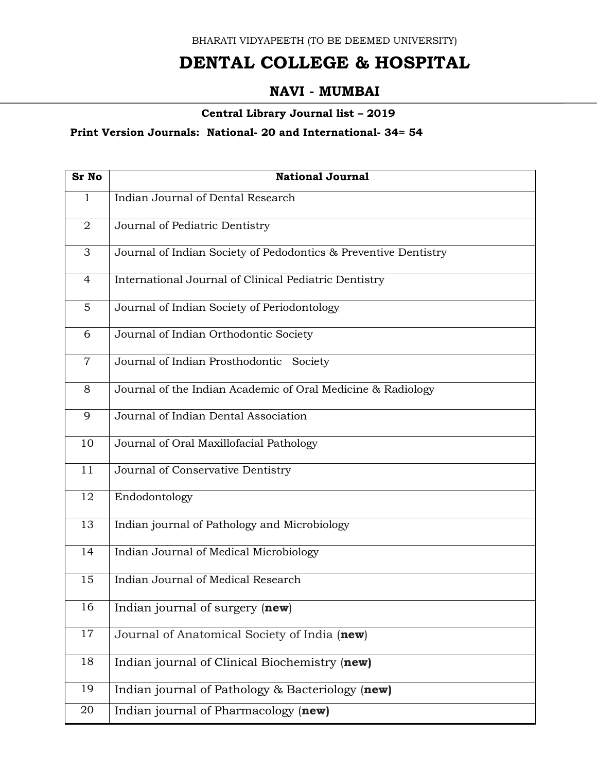BHARATI VIDYAPEETH (TO BE DEEMED UNIVERSITY)

## **DENTAL COLLEGE & HOSPITAL**

## **NAVI - MUMBAI**

## **Central Library Journal list – 2019**

## **Print Version Journals: National- 20 and International- 34= 54**

| <b>Sr No</b>   | <b>National Journal</b>                                         |
|----------------|-----------------------------------------------------------------|
| $\mathbf{1}$   | Indian Journal of Dental Research                               |
| $\overline{2}$ | Journal of Pediatric Dentistry                                  |
| 3              | Journal of Indian Society of Pedodontics & Preventive Dentistry |
| 4              | International Journal of Clinical Pediatric Dentistry           |
| 5              | Journal of Indian Society of Periodontology                     |
| 6              | Journal of Indian Orthodontic Society                           |
| $\overline{7}$ | Journal of Indian Prosthodontic Society                         |
| 8              | Journal of the Indian Academic of Oral Medicine & Radiology     |
| 9              | Journal of Indian Dental Association                            |
| 10             | Journal of Oral Maxillofacial Pathology                         |
| 11             | Journal of Conservative Dentistry                               |
| 12             | Endodontology                                                   |
| 13             | Indian journal of Pathology and Microbiology                    |
| 14             | Indian Journal of Medical Microbiology                          |
| 15             | Indian Journal of Medical Research                              |
| 16             | Indian journal of surgery (new)                                 |
| 17             | Journal of Anatomical Society of India (new)                    |
| 18             | Indian journal of Clinical Biochemistry (new)                   |
| 19             | Indian journal of Pathology & Bacteriology (new)                |
| 20             | Indian journal of Pharmacology (new)                            |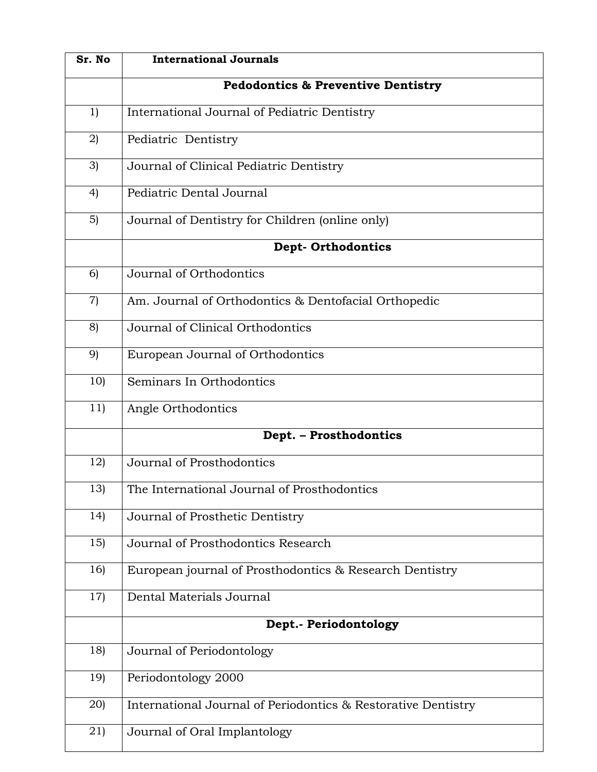| Sr. No | <b>International Journals</b>                                 |
|--------|---------------------------------------------------------------|
|        | <b>Pedodontics &amp; Preventive Dentistry</b>                 |
| 1)     | International Journal of Pediatric Dentistry                  |
| 2)     | Pediatric Dentistry                                           |
| 3)     | Journal of Clinical Pediatric Dentistry                       |
| 4)     | Pediatric Dental Journal                                      |
| 5)     | Journal of Dentistry for Children (online only)               |
|        | <b>Dept-Orthodontics</b>                                      |
| 6)     | Journal of Orthodontics                                       |
| 7)     | Am. Journal of Orthodontics & Dentofacial Orthopedic          |
| 8)     | Journal of Clinical Orthodontics                              |
| 9)     | European Journal of Orthodontics                              |
| 10)    | Seminars In Orthodontics                                      |
| 11)    | Angle Orthodontics                                            |
|        | Dept. - Prosthodontics                                        |
| 12)    | Journal of Prosthodontics                                     |
| 13)    | The International Journal of Prosthodontics                   |
| 14)    | Journal of Prosthetic Dentistry                               |
| 15)    | Journal of Prosthodontics Research                            |
| 16)    | European journal of Prosthodontics & Research Dentistry       |
| 17)    | Dental Materials Journal                                      |
|        | Dept.- Periodontology                                         |
| 18)    | Journal of Periodontology                                     |
| 19)    | Periodontology 2000                                           |
| 20)    | International Journal of Periodontics & Restorative Dentistry |
| 21)    | Journal of Oral Implantology                                  |